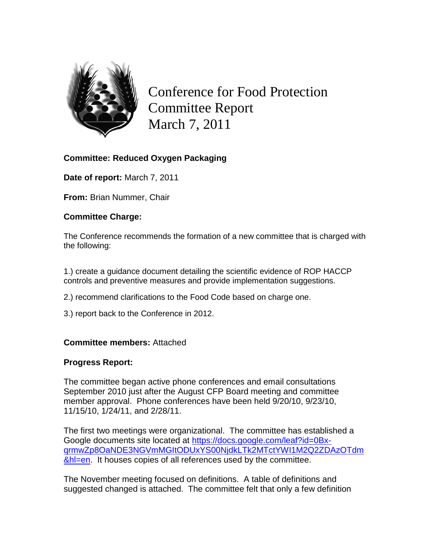

Conference for Food Protection Committee Report March 7, 2011

# **Committee: Reduced Oxygen Packaging**

**Date of report:** March 7, 2011

**From:** Brian Nummer, Chair

## **Committee Charge:**

The Conference recommends the formation of a new committee that is charged with the following:

1.) create a guidance document detailing the scientific evidence of ROP HACCP controls and preventive measures and provide implementation suggestions.

- 2.) recommend clarifications to the Food Code based on charge one.
- 3.) report back to the Conference in 2012.

# **Committee members:** Attached

#### **Progress Report:**

The committee began active phone conferences and email consultations September 2010 just after the August CFP Board meeting and committee member approval. Phone conferences have been held 9/20/10, 9/23/10, 11/15/10, 1/24/11, and 2/28/11.

The first two meetings were organizational. The committee has established a Google documents site located at [https://docs.google.com/leaf?id=0Bx](https://docs.google.com/leaf?id=0Bx-qrmwZp8OaNDE3NGVmMGItODUxYS00NjdkLTk2MTctYWI1M2Q2ZDAzOTdm&hl=en)[qrmwZp8OaNDE3NGVmMGItODUxYS00NjdkLTk2MTctYWI1M2Q2ZDAzOTdm](https://docs.google.com/leaf?id=0Bx-qrmwZp8OaNDE3NGVmMGItODUxYS00NjdkLTk2MTctYWI1M2Q2ZDAzOTdm&hl=en) [&hl=en.](https://docs.google.com/leaf?id=0Bx-qrmwZp8OaNDE3NGVmMGItODUxYS00NjdkLTk2MTctYWI1M2Q2ZDAzOTdm&hl=en) It houses copies of all references used by the committee.

The November meeting focused on definitions. A table of definitions and suggested changed is attached. The committee felt that only a few definition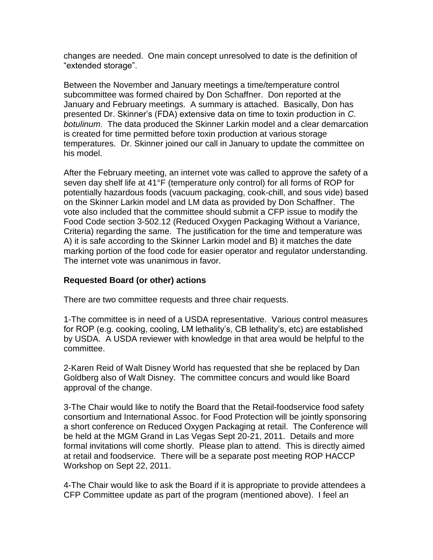changes are needed. One main concept unresolved to date is the definition of "extended storage".

Between the November and January meetings a time/temperature control subcommittee was formed chaired by Don Schaffner. Don reported at the January and February meetings. A summary is attached. Basically, Don has presented Dr. Skinner's (FDA) extensive data on time to toxin production in *C. botulinum*. The data produced the Skinner Larkin model and a clear demarcation is created for time permitted before toxin production at various storage temperatures. Dr. Skinner joined our call in January to update the committee on his model.

After the February meeting, an internet vote was called to approve the safety of a seven day shelf life at 41°F (temperature only control) for all forms of ROP for potentially hazardous foods (vacuum packaging, cook-chill, and sous vide) based on the Skinner Larkin model and LM data as provided by Don Schaffner. The vote also included that the committee should submit a CFP issue to modify the Food Code section 3-502.12 (Reduced Oxygen Packaging Without a Variance, Criteria) regarding the same. The justification for the time and temperature was A) it is safe according to the Skinner Larkin model and B) it matches the date marking portion of the food code for easier operator and regulator understanding. The internet vote was unanimous in favor.

### **Requested Board (or other) actions**

There are two committee requests and three chair requests.

1-The committee is in need of a USDA representative. Various control measures for ROP (e.g. cooking, cooling, LM lethality's, CB lethality's, etc) are established by USDA. A USDA reviewer with knowledge in that area would be helpful to the committee.

2-Karen Reid of Walt Disney World has requested that she be replaced by Dan Goldberg also of Walt Disney. The committee concurs and would like Board approval of the change.

3-The Chair would like to notify the Board that the Retail-foodservice food safety consortium and International Assoc. for Food Protection will be jointly sponsoring a short conference on Reduced Oxygen Packaging at retail. The Conference will be held at the MGM Grand in Las Vegas Sept 20-21, 2011. Details and more formal invitations will come shortly. Please plan to attend. This is directly aimed at retail and foodservice. There will be a separate post meeting ROP HACCP Workshop on Sept 22, 2011.

4-The Chair would like to ask the Board if it is appropriate to provide attendees a CFP Committee update as part of the program (mentioned above). I feel an